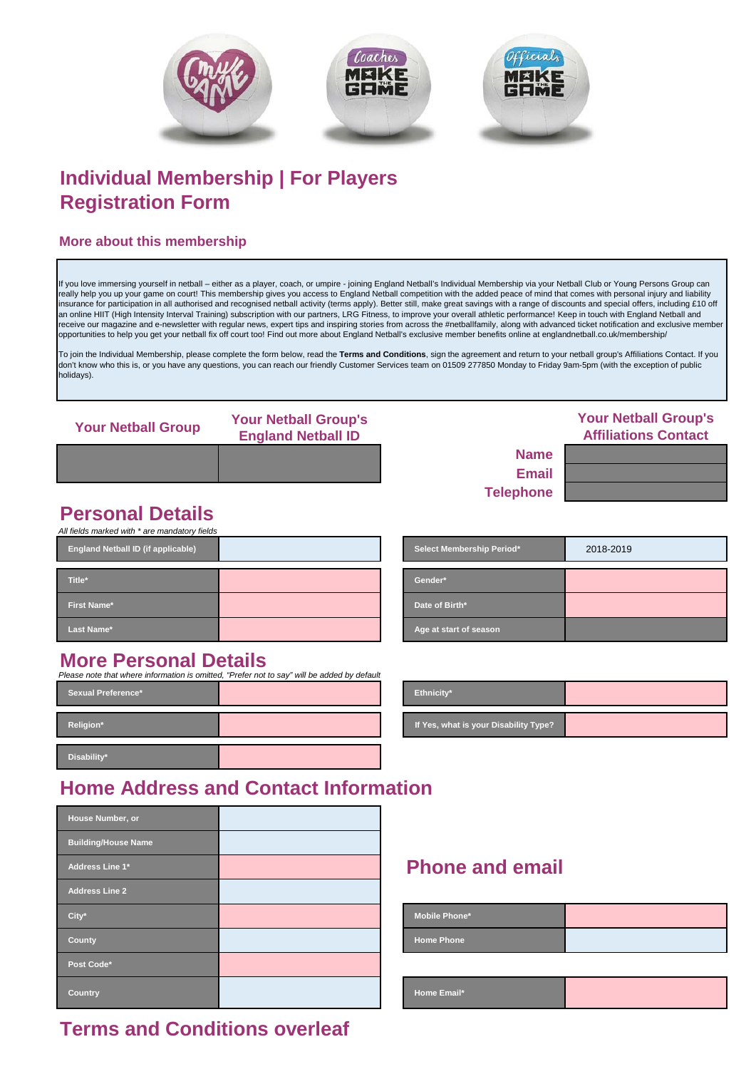

# **Individual Membership | For Players Registration Form**

### **More about this membership**

If you love immersing yourself in netball – either as a player, coach, or umpire - joining England Netball's Individual Membership via your Netball Club or Young Persons Group can really help you up your game on court! This membership gives you access to England Netball competition with the added peace of mind that comes with personal injury and liability insurance for participation in all authorised and recognised netball activity (terms apply). Better still, make great savings with a range of discounts and special offers, including £10 off<br>an online HIIT (High Intensity I receive our magazine and e-newsletter with regular news, expert tips and inspiring stories from across the #netballfamily, along with advanced ticket notification and exclusive member opportunities to help you get your netball fix off court too! Find out more about England Netball's exclusive member benefits online at englandnetball.co.uk/membership/

To join the Individual Membership, please complete the form below, read the **Terms and Conditions**, sign the agreement and return to your netball group's Affiliations Contact. If you<br>don't know who this is, or you have any holidays).

| <b>Your Netball Group</b> | <b>Your Netball Group's</b><br><b>England Netball ID</b> |                  | <b>Your Netball Group's</b><br><b>Affiliations Contact</b> |
|---------------------------|----------------------------------------------------------|------------------|------------------------------------------------------------|
|                           |                                                          | <b>Name</b>      |                                                            |
|                           |                                                          | <b>Email</b>     |                                                            |
|                           |                                                          | <b>Telephone</b> |                                                            |

**Date of Birth\*** 

**Age at start of season** 

# **Personal Details**

| All fields marked with * are mandatory fields |                 |
|-----------------------------------------------|-----------------|
| <b>England Netball ID (if applicable)</b>     | <b>Select N</b> |
|                                               |                 |
| Title*                                        | Gender*         |
| <b>First Name*</b>                            | Date of         |
| Last Name*                                    | Age at s        |
|                                               |                 |

| <b>More Personal Details</b> |  |
|------------------------------|--|
|                              |  |

| <b>Sexual Preference*</b> |  | Ethnicity*                           |
|---------------------------|--|--------------------------------------|
| Religion*                 |  | If Yes, what is your Disability Type |
| Disability*               |  |                                      |

| <b>More Personal Details</b><br>Please note that where information is omitted, "Prefer not to say" will be added by default |  |                                       |  |
|-----------------------------------------------------------------------------------------------------------------------------|--|---------------------------------------|--|
| <b>Sexual Preference*</b>                                                                                                   |  | <b>Ethnicity</b> *                    |  |
| Religion*                                                                                                                   |  | If Yes, what is your Disability Type? |  |

**Select Membership Period\*** 2018-2019

## **Home Address and Contact Information**

| House Number, or           |                      |
|----------------------------|----------------------|
| <b>Building/House Name</b> |                      |
| Address Line 1*            | <b>Phone and e</b>   |
| <b>Address Line 2</b>      |                      |
| City*                      | <b>Mobile Phone*</b> |
| County                     | <b>Home Phone</b>    |
| Post Code*                 |                      |
| <b>Country</b>             | Home Email*          |

### **Phone and email**

| <b>Mobile Phone*</b> |  |
|----------------------|--|
| <b>Home Phone</b>    |  |

### **Terms and Conditions overleaf**